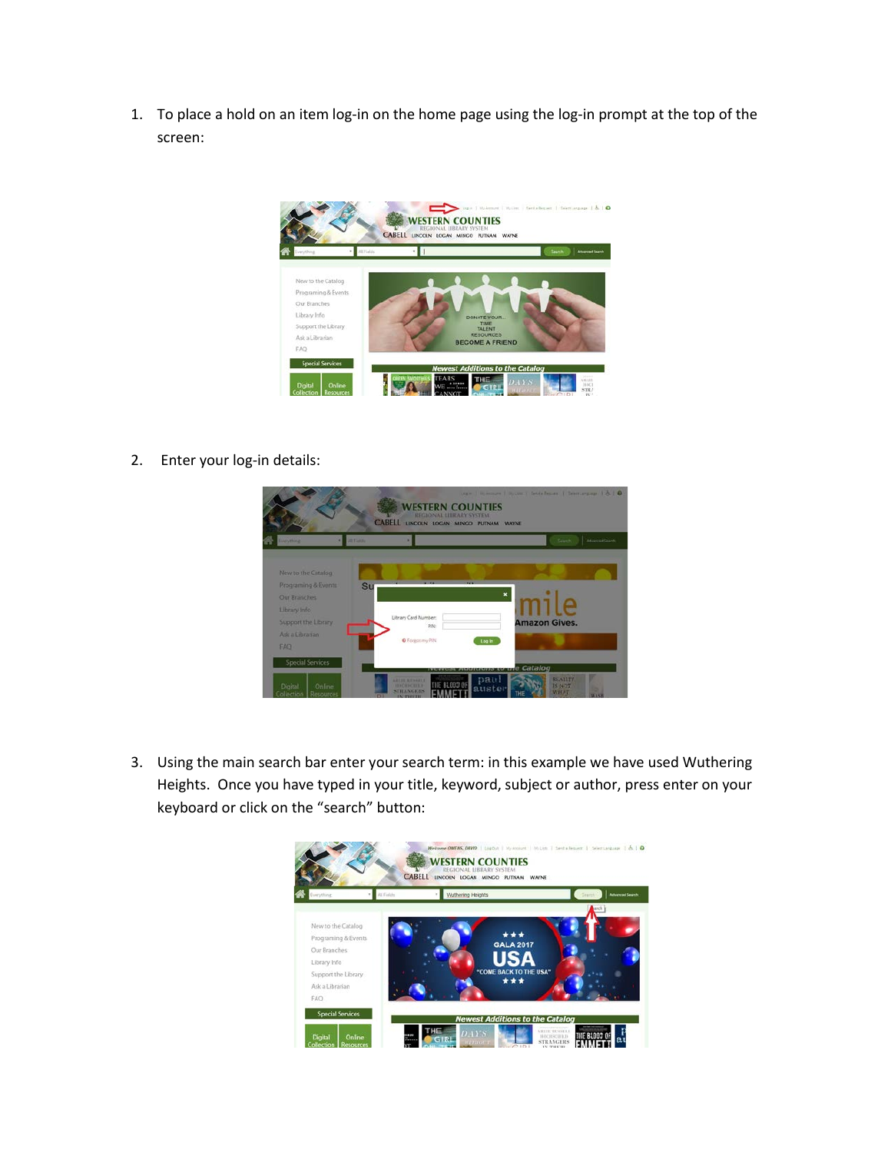1. To place a hold on an item log-in on the home page using the log-in prompt at the top of the screen:



2. Enter your log-in details:



3. Using the main search bar enter your search term: in this example we have used Wuthering Heights. Once you have typed in your title, keyword, subject or author, press enter on your keyboard or click on the "search" button:

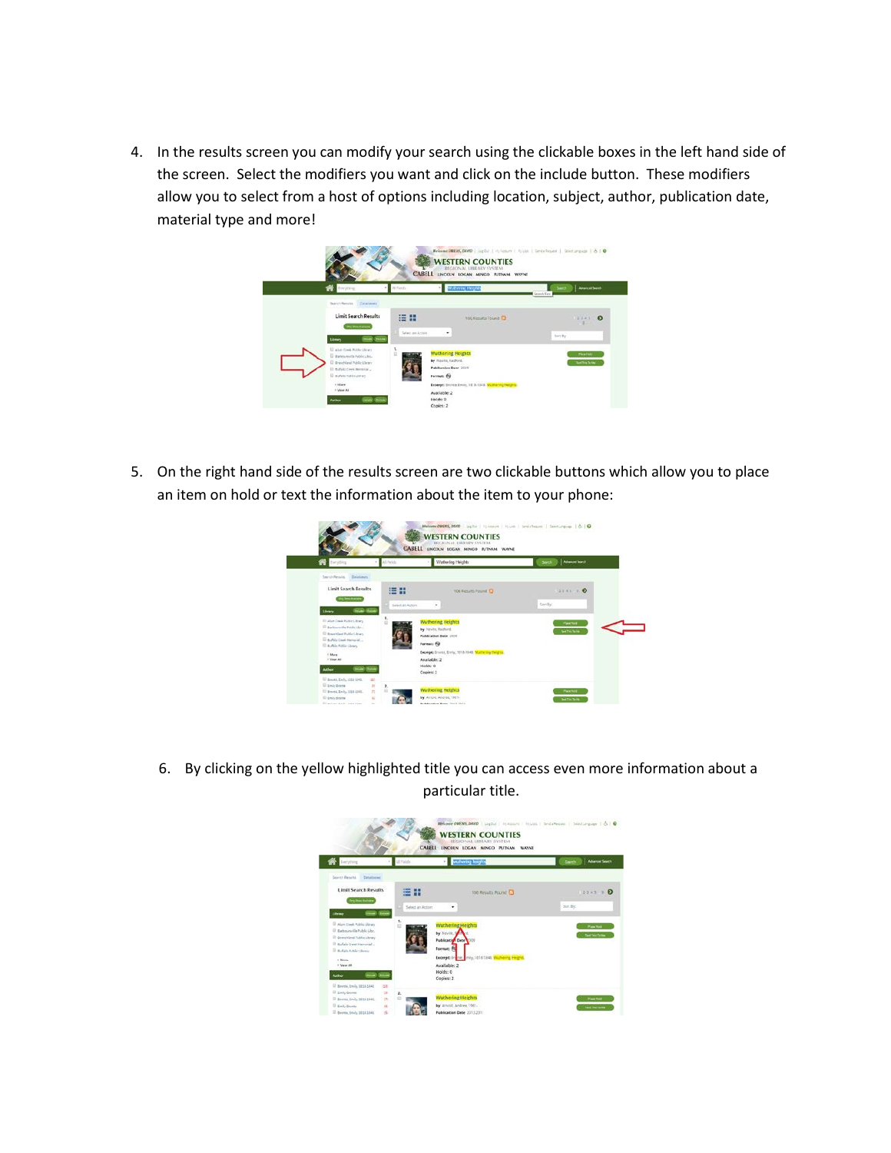4. In the results screen you can modify your search using the clickable boxes in the left hand side of the screen. Select the modifiers you want and click on the include button. These modifiers allow you to select from a host of options including location, subject, author, publication date, material type and more!



5. On the right hand side of the results screen are two clickable buttons which allow you to place an item on hold or text the information about the item to your phone:

| <b>Communication</b><br>Search Renails, Delationes                                                                                                                                             | A1Peids                    | Watherleg Heights                                                                                                                   | Alexandron                               |
|------------------------------------------------------------------------------------------------------------------------------------------------------------------------------------------------|----------------------------|-------------------------------------------------------------------------------------------------------------------------------------|------------------------------------------|
| Limit Search Results<br><b>Dic Smokelain</b><br><b>THAT SHOW</b><br>Library                                                                                                                    | 猫开<br>Select An Action     | 106 Fesuris Found<br>۰                                                                                                              | 3741 9 0<br>Seite.                       |
| 13 Alars Traub Robbe Library<br>U. Airbisonville Public Library<br><sup>(2)</sup> Reservised Public Library<br>12 Buffalo Creek Hartschaf<br>El Aufaix Addie Library<br>Litture<br>If Many All | Foresan EQ<br>Analiská«; 2 | <b>Wuthering Heights</b><br>by Nevite Richard<br><b>Publication Bate 1004</b><br>Excess Entries, Dydy, 1018-1340. Wallering Destro- | <b>Fax Text</b><br><b>Test Tim Tains</b> |

6. By clicking on the yellow highlighted title you can access even more information about a particular title.

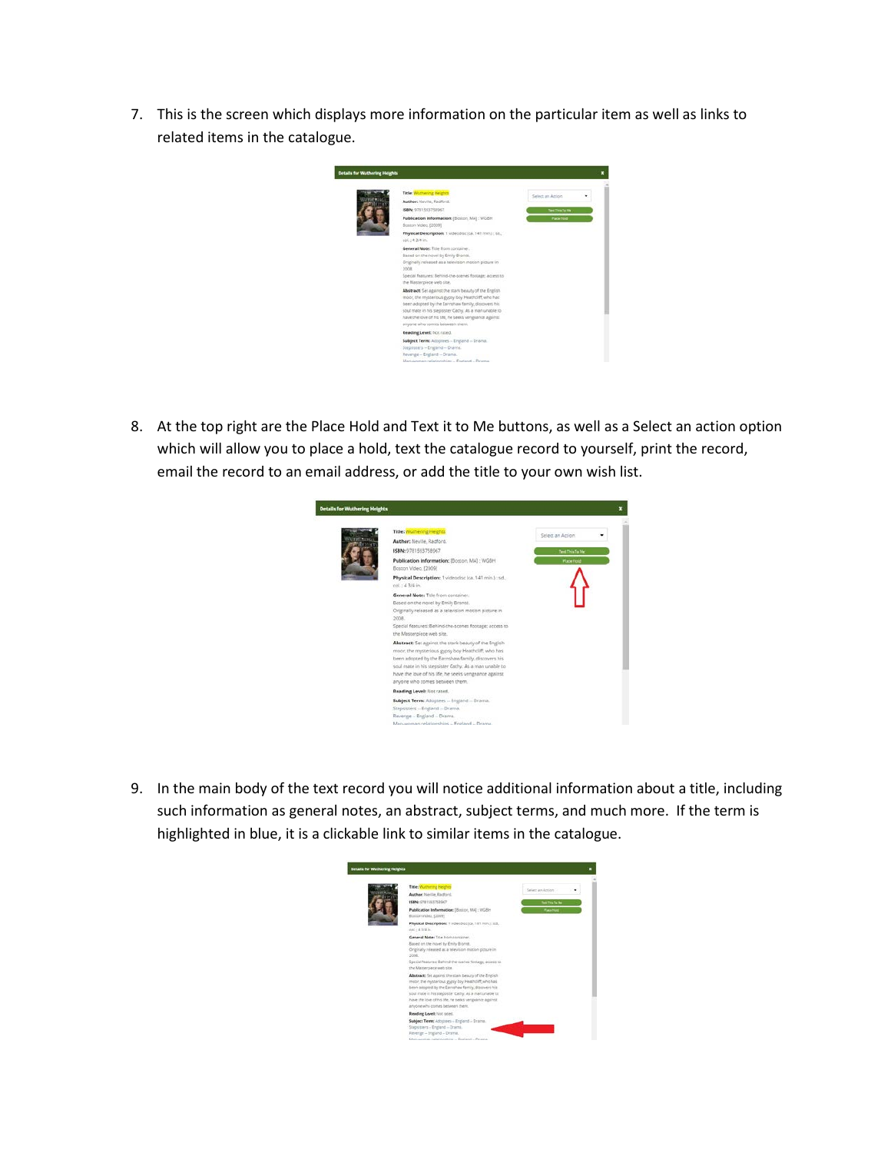7. This is the screen which displays more information on the particular item as well as links to related items in the catalogue.



8. At the top right are the Place Hold and Text it to Me buttons, as well as a Select an action option which will allow you to place a hold, text the catalogue record to yourself, print the record, email the record to an email address, or add the title to your own wish list.

|  | Title: Wushering Heights                                                                                                                                                                                                                                                                                               |                   |
|--|------------------------------------------------------------------------------------------------------------------------------------------------------------------------------------------------------------------------------------------------------------------------------------------------------------------------|-------------------|
|  | Author: Neville, Radford,                                                                                                                                                                                                                                                                                              | Select an Action  |
|  | ISBN: 0781593758067                                                                                                                                                                                                                                                                                                    | Text This To Me   |
|  | Publication Information: [Boston, MA] ; WGBH<br>Boston Video, [2009]                                                                                                                                                                                                                                                   | <b>Place Hotd</b> |
|  | Physical Description: 1 videodisc (ca. 141 min.) : sd.,<br>col.: 43/4 in.                                                                                                                                                                                                                                              |                   |
|  | General Note: Title from container.<br>Based on the novel by Emily Bronce.<br>Originally released as a television motion picture in<br>2008.<br>Special features: Behind-the-scenes footage; access to<br>the Masterpiece web site.                                                                                    |                   |
|  | Abstract: Set against the stark beauty of the English<br>moor, the mysterious gypsy boy Heathcliff, who has<br>been adopted by the Earmshaw family, discovers his<br>soul mate in his stepsister Cathy. As a man unable to<br>have the love of his life, he seeks vengeance against.<br>anyone who comes between them. |                   |
|  | Reading Level: Not rated.                                                                                                                                                                                                                                                                                              |                   |
|  | Subject Term: Adoptees -- England -- Drama.<br>Stepsisters -- England -- Drama.<br>Revenge -- England -- Drama.                                                                                                                                                                                                        |                   |

9. In the main body of the text record you will notice additional information about a title, including such information as general notes, an abstract, subject terms, and much more. If the term is highlighted in blue, it is a clickable link to similar items in the catalogue.

| <b>Details for Wuthering Heights</b> |                                                                                                                                                                                                                                                                                                                          |                           |  |
|--------------------------------------|--------------------------------------------------------------------------------------------------------------------------------------------------------------------------------------------------------------------------------------------------------------------------------------------------------------------------|---------------------------|--|
|                                      | Title: Wuthering heights                                                                                                                                                                                                                                                                                                 | Select an Action          |  |
|                                      | Author: Nextle, Radford,                                                                                                                                                                                                                                                                                                 |                           |  |
|                                      | <b>ISBN-</b> 078150X752047                                                                                                                                                                                                                                                                                               | <b>Seattles Schles</b>    |  |
|                                      | Publication Information: [Boston, MA] : INGBH<br>Eoston Video, [2009]                                                                                                                                                                                                                                                    | <b><i>Place Hotel</i></b> |  |
|                                      | Physical Description: I videodicc (ci. 141 min.) : zd.,<br>col.: 4.5/4 in.                                                                                                                                                                                                                                               |                           |  |
|                                      | General Note: Title from container.<br>Based on the novel by Emity Bronte.<br>Originally released as a television mission picture in<br>2008<br>Special features: Behind-the-scenes toologe; access to<br>the Masterpiece web site.                                                                                      |                           |  |
|                                      | Abatract: Set against the stark beauty of the English<br>moor, the mysterious gignly boy Heathcliff, who has<br>been adopted by the Earnshaw family, discovers his<br>soul mate in his stepsister Cethy. As a manurable to:<br>have the love of his life, he seeks vergeanize against.<br>anyone who comes between them. |                           |  |
|                                      | Reading Levelt Not rated.                                                                                                                                                                                                                                                                                                |                           |  |
|                                      | Subject Term: Adoptees - England - Drama.<br>Stepssters - England - Drama.<br>Feverge - England - Drama,<br>Manuscrian relationships  Frateret  Drama.                                                                                                                                                                   |                           |  |